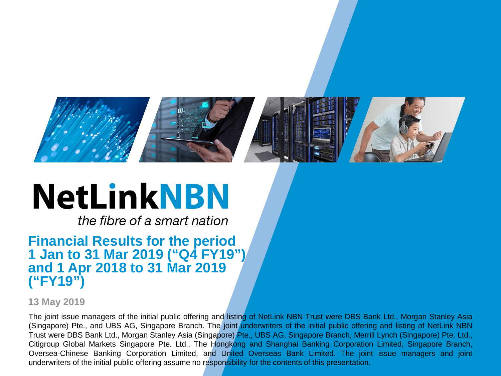

# **NetLinkNBN**

the fibre of a smart nation

#### **Financial Results for the period 1 Jan to 31 Mar 2019 ("Q4 FY19") and 1 Apr 2018 to 31 Mar 2019 ("FY19")**

**13 May 2019**

Oversea-Chinese Banking Corporation Limited, and Un<mark>ited Overseas Bank Limited. The joint issue managers and joint</mark> The joint issue managers of the initial public offering and listing of NetLink NBN Trust were DBS Bank Ltd., Morgan Stanley Asia (Singapore) Pte., and UBS AG, Singapore Branch. The joint underwriters of the initial public offering and listing of NetLink NBN Trust were DBS Bank Ltd., Morgan Stanley Asia (Singapore) Pte., UBS AG, Singapore Branch, Merrill Lynch (Singapore) Pte. Ltd., Citigroup Global Markets Singapore Pte. Ltd., The Hongkong and Shanghai Banking Corporation Limited, Singapore Branch, underwriters of the initial public offering assume no responsibility for the contents of this presentation.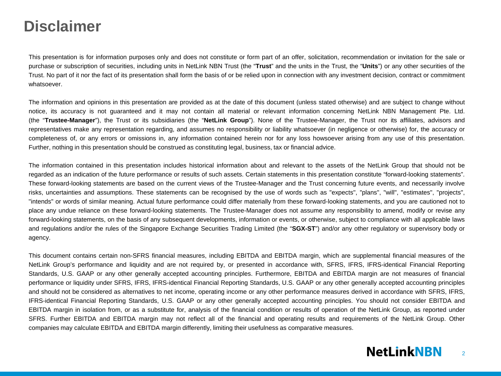#### **Disclaimer**

This presentation is for information purposes only and does not constitute or form part of an offer, solicitation, recommendation or invitation for the sale or purchase or subscription of securities, including units in NetLink NBN Trust (the "**Trust**" and the units in the Trust, the "**Units**") or any other securities of the Trust. No part of it nor the fact of its presentation shall form the basis of or be relied upon in connection with any investment decision, contract or commitment whatsoever.

The information and opinions in this presentation are provided as at the date of this document (unless stated otherwise) and are subject to change without notice, its accuracy is not guaranteed and it may not contain all material or relevant information concerning NetLink NBN Management Pte. Ltd. (the "**Trustee-Manager**"), the Trust or its subsidiaries (the "**NetLink Group**"). None of the Trustee-Manager, the Trust nor its affiliates, advisors and representatives make any representation regarding, and assumes no responsibility or liability whatsoever (in negligence or otherwise) for, the accuracy or completeness of, or any errors or omissions in, any information contained herein nor for any loss howsoever arising from any use of this presentation. Further, nothing in this presentation should be construed as constituting legal, business, tax or financial advice.

The information contained in this presentation includes historical information about and relevant to the assets of the NetLink Group that should not be regarded as an indication of the future performance or results of such assets. Certain statements in this presentation constitute "forward-looking statements". These forward-looking statements are based on the current views of the Trustee-Manager and the Trust concerning future events, and necessarily involve risks, uncertainties and assumptions. These statements can be recognised by the use of words such as "expects", "plans", "will", "estimates", "projects", "intends" or words of similar meaning. Actual future performance could differ materially from these forward-looking statements, and you are cautioned not to place any undue reliance on these forward-looking statements. The Trustee-Manager does not assume any responsibility to amend, modify or revise any forward-looking statements, on the basis of any subsequent developments, information or events, or otherwise, subject to compliance with all applicable laws and regulations and/or the rules of the Singapore Exchange Securities Trading Limited (the "**SGX-ST**") and/or any other regulatory or supervisory body or agency.

This document contains certain non-SFRS financial measures, including EBITDA and EBITDA margin, which are supplemental financial measures of the NetLink Group's performance and liquidity and are not required by, or presented in accordance with, SFRS, IFRS, IFRS-identical Financial Reporting Standards, U.S. GAAP or any other generally accepted accounting principles. Furthermore, EBITDA and EBITDA margin are not measures of financial performance or liquidity under SFRS, IFRS, IFRS-identical Financial Reporting Standards, U.S. GAAP or any other generally accepted accounting principles and should not be considered as alternatives to net income, operating income or any other performance measures derived in accordance with SFRS, IFRS, IFRS-identical Financial Reporting Standards, U.S. GAAP or any other generally accepted accounting principles. You should not consider EBITDA and EBITDA margin in isolation from, or as a substitute for, analysis of the financial condition or results of operation of the NetLink Group, as reported under SFRS. Further EBITDA and EBITDA margin may not reflect all of the financial and operating results and requirements of the NetLink Group. Other companies may calculate EBITDA and EBITDA margin differently, limiting their usefulness as comparative measures.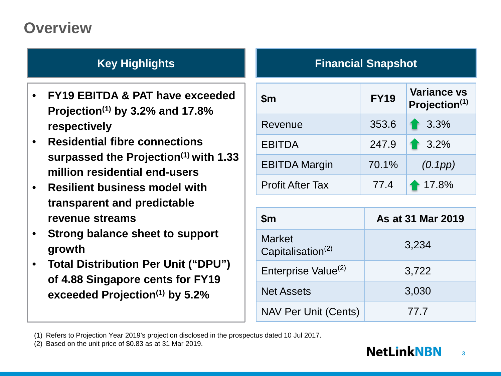### **Overview**

- **FY19 EBITDA & PAT have exceeded Projection(1) by 3.2% and 17.8% respectively**
- **Residential fibre connections surpassed the Projection(1) with 1.33 million residential end-users**
- **Resilient business model with transparent and predictable revenue streams**
- **Strong balance sheet to support growth**
- **Total Distribution Per Unit ("DPU") of 4.88 Singapore cents for FY19 exceeded Projection(1) by 5.2%**

#### **Key Highlights Financial Snapshot**

| $\mathsf{Sm}$           | <b>FY19</b> | <b>Variance vs</b><br>Projection <sup>(1)</sup> |
|-------------------------|-------------|-------------------------------------------------|
| Revenue                 | 353.6       | 1 3.3%                                          |
| <b>EBITDA</b>           | 247.9       | 13.2%                                           |
| <b>EBITDA Margin</b>    | 70.1%       | (0.1pp)                                         |
| <b>Profit After Tax</b> | 77.4        | 17.8%                                           |

| $\mathsf{Sm}$                                  | As at 31 Mar 2019 |
|------------------------------------------------|-------------------|
| <b>Market</b><br>Capitalisation <sup>(2)</sup> | 3,234             |
| Enterprise Value <sup>(2)</sup>                | 3,722             |
| <b>Net Assets</b>                              | 3,030             |
| <b>NAV Per Unit (Cents)</b>                    | 77.7              |

<sup>(1)</sup> Refers to Projection Year 2019's projection disclosed in the prospectus dated 10 Jul 2017.

(2) Based on the unit price of \$0.83 as at 31 Mar 2019.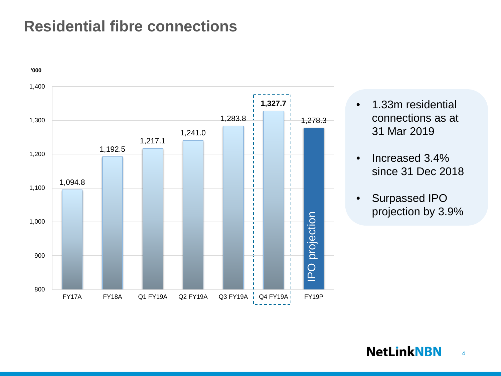#### **Residential fibre connections**



- 1.33m residential connections as at 31 Mar 2019
- Increased 3.4% since 31 Dec 2018
- Surpassed IPO projection by 3.9%

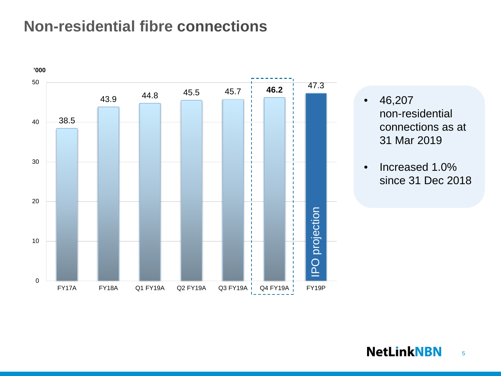#### **Non-residential fibre connections**



- 46,207 non-residential connections as at 31 Mar 2019
- Increased 1.0% since 31 Dec 2018

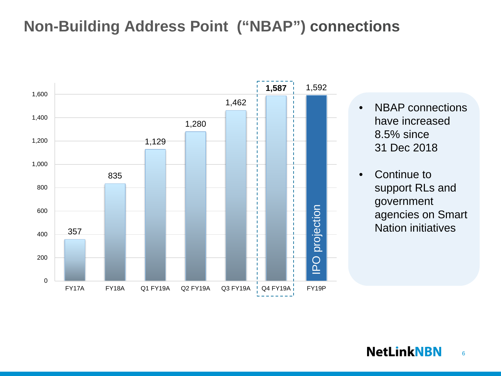### **Non-Building Address Point ("NBAP") connections**



- NBAP connections have increased 8.5% since 31 Dec 2018
- Continue to support RLs and government agencies on Smart Nation initiatives

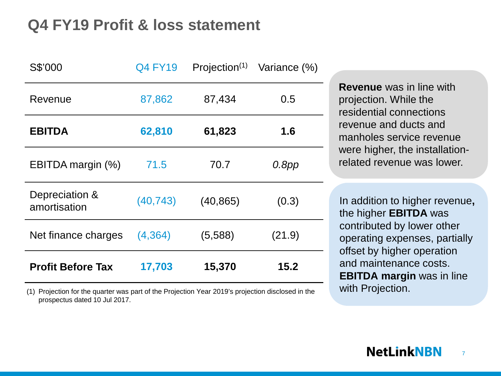### **Q4 FY19 Profit & loss statement**

| S\$'000                        | <b>Q4 FY19</b> | Projection $(1)$ | Variance (%) |
|--------------------------------|----------------|------------------|--------------|
| Revenue                        | 87,862         | 87,434           | 0.5          |
| <b>EBITDA</b>                  | 62,810         | 61,823           | 1.6          |
| EBITDA margin (%)              | 71.5           | 70.7             | $0.8$ pp     |
| Depreciation &<br>amortisation | (40, 743)      | (40, 865)        | (0.3)        |
| Net finance charges            | (4, 364)       | (5,588)          | (21.9)       |
| <b>Profit Before Tax</b>       | 17,703         | 15,370           | 15.2         |

(1) Projection for the quarter was part of the Projection Year 2019's projection disclosed in the prospectus dated 10 Jul 2017.

**Revenue** was in line with projection. While the residential connections revenue and ducts and manholes service revenue were higher, the installationrelated revenue was lower.

In addition to higher revenue**,**  the higher **EBITDA** was contributed by lower other operating expenses, partially offset by higher operation and maintenance costs. **EBITDA margin** was in line with Projection.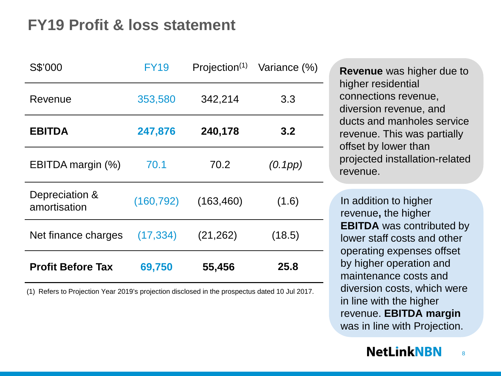#### **FY19 Profit & loss statement**

| S\$'000                        | <b>FY19</b> | Projection $(1)$ | Variance (%) |
|--------------------------------|-------------|------------------|--------------|
| Revenue                        | 353,580     | 342,214          | 3.3          |
| <b>EBITDA</b>                  | 247,876     | 240,178          | 3.2          |
| EBITDA margin (%)              | 70.1        | 70.2             | (0.1pp)      |
| Depreciation &<br>amortisation | (160, 792)  | (163, 460)       | (1.6)        |
| Net finance charges            | (17, 334)   | (21, 262)        | (18.5)       |
| <b>Profit Before Tax</b>       | 69,750      | 55,456           | 25.8         |

(1) Refers to Projection Year 2019's projection disclosed in the prospectus dated 10 Jul 2017.

**Revenue** was higher due to higher residential connections revenue, diversion revenue, and ducts and manholes service revenue. This was partially offset by lower than projected installation-related revenue.

In addition to higher revenue**,** the higher **EBITDA** was contributed by lower staff costs and other operating expenses offset by higher operation and maintenance costs and diversion costs, which were in line with the higher revenue. **EBITDA margin** was in line with Projection.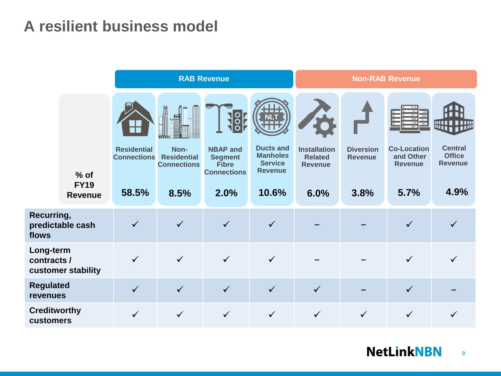### **A resilient business model**

|                                  |                                         | <b>RAB Revenue</b>                                |                                                          |                                                                                 | <b>Non-RAB Revenue</b>                                                           |                                                                 |                                            |                                                                                  |                                                           |
|----------------------------------|-----------------------------------------|---------------------------------------------------|----------------------------------------------------------|---------------------------------------------------------------------------------|----------------------------------------------------------------------------------|-----------------------------------------------------------------|--------------------------------------------|----------------------------------------------------------------------------------|-----------------------------------------------------------|
|                                  | $%$ of<br><b>FY19</b><br><b>Revenue</b> | <b>Residential</b><br><b>Connections</b><br>58.5% | Non-<br><b>Residential</b><br><b>Connections</b><br>8.5% | <b>NBAP and</b><br><b>Segment</b><br><b>Fibre</b><br><b>Connections</b><br>2.0% | <b>Ducts and</b><br><b>Manholes</b><br><b>Service</b><br><b>Revenue</b><br>10.6% | <b>Installation</b><br><b>Related</b><br><b>Revenue</b><br>6.0% | <b>Diversion</b><br><b>Revenue</b><br>3.8% | $\overline{\cdots}$<br><b>Co-Location</b><br>and Other<br><b>Revenue</b><br>5.7% | <b>Central</b><br><b>Office</b><br><b>Revenue</b><br>4.9% |
|                                  |                                         |                                                   |                                                          |                                                                                 |                                                                                  |                                                                 |                                            |                                                                                  |                                                           |
| Recurring,<br>flows              | predictable cash                        | $\checkmark$                                      | $\checkmark$                                             | $\checkmark$                                                                    | $\checkmark$                                                                     |                                                                 |                                            | $\checkmark$                                                                     |                                                           |
| Long-term<br>contracts /         | customer stability                      |                                                   | $\checkmark$                                             | $\checkmark$                                                                    | $\checkmark$                                                                     |                                                                 |                                            |                                                                                  |                                                           |
| <b>Regulated</b><br>revenues     |                                         | $\checkmark$                                      | $\checkmark$                                             | $\checkmark$                                                                    | $\checkmark$                                                                     | $\checkmark$                                                    |                                            | $\checkmark$                                                                     |                                                           |
| <b>Creditworthy</b><br>customers |                                         | $\checkmark$                                      | $\checkmark$                                             |                                                                                 | $\checkmark$                                                                     | $\checkmark$                                                    | $\checkmark$                               | $\checkmark$                                                                     |                                                           |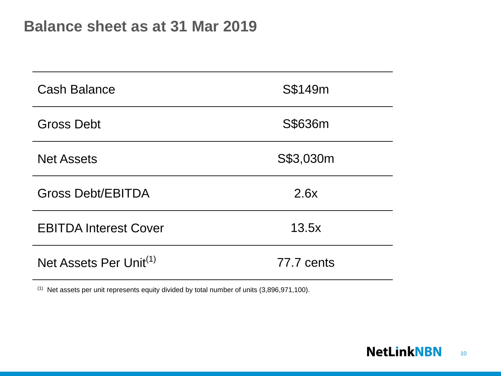| <b>Cash Balance</b>                | S\$149m    |
|------------------------------------|------------|
| <b>Gross Debt</b>                  | S\$636m    |
| <b>Net Assets</b>                  | S\$3,030m  |
| <b>Gross Debt/EBITDA</b>           | 2.6x       |
| <b>EBITDA Interest Cover</b>       | 13.5x      |
| Net Assets Per Unit <sup>(1)</sup> | 77.7 cents |

(1) Net assets per unit represents equity divided by total number of units (3,896,971,100).

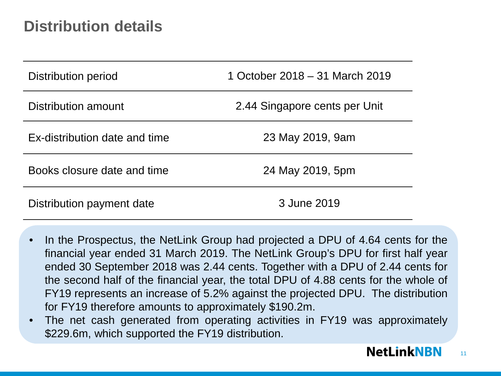### **Distribution details**

| Distribution period           | 1 October 2018 – 31 March 2019 |
|-------------------------------|--------------------------------|
| Distribution amount           | 2.44 Singapore cents per Unit  |
| Ex-distribution date and time | 23 May 2019, 9am               |
| Books closure date and time   | 24 May 2019, 5pm               |
| Distribution payment date     | 3 June 2019                    |

- In the Prospectus, the NetLink Group had projected a DPU of 4.64 cents for the financial year ended 31 March 2019. The NetLink Group's DPU for first half year ended 30 September 2018 was 2.44 cents. Together with a DPU of 2.44 cents for the second half of the financial year, the total DPU of 4.88 cents for the whole of FY19 represents an increase of 5.2% against the projected DPU. The distribution for FY19 therefore amounts to approximately \$190.2m.
- The net cash generated from operating activities in FY19 was approximately \$229.6m, which supported the FY19 distribution.

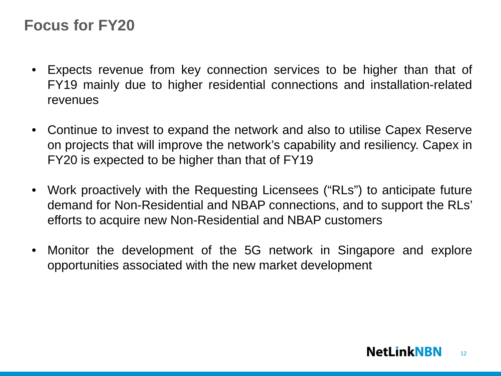#### **Focus for FY20**

- Expects revenue from key connection services to be higher than that of FY19 mainly due to higher residential connections and installation-related revenues
- Continue to invest to expand the network and also to utilise Capex Reserve on projects that will improve the network's capability and resiliency. Capex in FY20 is expected to be higher than that of FY19
- Work proactively with the Requesting Licensees ("RLs") to anticipate future demand for Non-Residential and NBAP connections, and to support the RLs' efforts to acquire new Non-Residential and NBAP customers
- Monitor the development of the 5G network in Singapore and explore opportunities associated with the new market development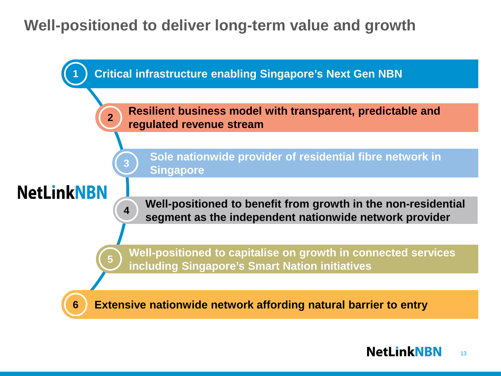### **Well-positioned to deliver long-term value and growth**